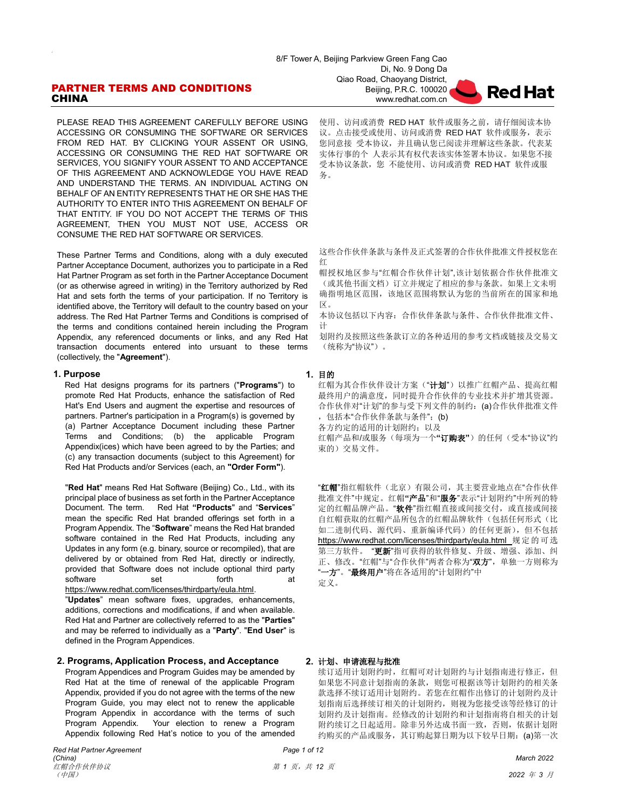# PARTNER TERMS AND CONDITIONS **CHINA**

PLEASE READ THIS AGREEMENT CAREFULLY BEFORE USING ACCESSING OR CONSUMING THE SOFTWARE OR SERVICES FROM RED HAT. BY CLICKING YOUR ASSENT OR USING, ACCESSING OR CONSUMING THE RED HAT SOFTWARE OR SERVICES, YOU SIGNIFY YOUR ASSENT TO AND ACCEPTANCE OF THIS AGREEMENT AND ACKNOWLEDGE YOU HAVE READ AND UNDERSTAND THE TERMS. AN INDIVIDUAL ACTING ON BEHALF OF AN ENTITY REPRESENTS THAT HE OR SHE HAS THE AUTHORITY TO ENTER INTO THIS AGREEMENT ON BEHALF OF THAT ENTITY. IF YOU DO NOT ACCEPT THE TERMS OF THIS AGREEMENT, THEN YOU MUST NOT USE, ACCESS OR CONSUME THE RED HAT SOFTWARE OR SERVICES.

These Partner Terms and Conditions, along with a duly executed Partner Acceptance Document, authorizes you to participate in a Red Hat Partner Program as set forth in the Partner Acceptance Document (or as otherwise agreed in writing) in the Territory authorized by Red Hat and sets forth the terms of your participation. If no Territory is identified above, the Territory will default to the country based on your address. The Red Hat Partner Terms and Conditions is comprised of the terms and conditions contained herein including the Program Appendix, any referenced documents or links, and any Red Hat transaction documents entered into ursuant to these terms (collectively, the "**Agreement**").

### **1. Purpose 1.** 目的

Red Hat designs programs for its partners ("**Programs**") to promote Red Hat Products, enhance the satisfaction of Red Hat's End Users and augment the expertise and resources of partners. Partner's participation in a Program(s) is governed by (a) Partner Acceptance Document including these Partner Terms and Conditions; (b) the applicable Program Appendix(ices) which have been agreed to by the Parties; and (c) any transaction documents (subject to this Agreement) for Red Hat Products and/or Services (each, an **"Order Form"**).

"**Red Hat**" means Red Hat Software (Beijing) Co., Ltd., with its principal place of business as set forth in the Partner Acceptance Document. The term. Red Hat **"Products**" and "**Services**" mean the specific Red Hat branded offerings set forth in a Program Appendix. The "**Software**" means the Red Hat branded software contained in the Red Hat Products, including any Updates in any form (e.g. binary, source or recompiled), that are delivered by or obtained from Red Hat, directly or indirectly, provided that Software does not include optional third party software set forth at [https://www.redhat.com/licenses/thirdparty/eula.html.](https://www.redhat.com/licenses/thirdparty/eula.html)

"**Updates**" mean software fixes, upgrades, enhancements, additions, corrections and modifications, if and when available. Red Hat and Partner are collectively referred to as the "**Parties**" and may be referred to individually as a "**Party**". "**End User**" is defined in the Program Appendices.

### **2. Programs, Application Process, and Acceptance 2.** 计划、申请流程与批准

Program Appendices and Program Guides may be amended by Red Hat at the time of renewal of the applicable Program Appendix, provided if you do not agree with the terms of the new Program Guide, you may elect not to renew the applicable Program Appendix in accordance with the terms of such Program Appendix. Your election to renew a Program Appendix following Red Hat's notice to you of the amended

使用、访问或消费 RED HAT 软件或服务之前, 请仔细阅读本协 议。点击接受或使用、访问或消费 RED HAT 软件或服务,表示 您同意接 受本协议,并且确认您已阅读并理解这些条款。代表某 实体行事的个 人表示其有权代表该实体签署本协议。如果您不接 受本协议条款,您 不能使用、访问或消费 RED HAT 软件或服 务。

**Red Hat** 

这些合作伙伴条款与条件及正式签署的合作伙伴批准文件授权您在 红

帽授权地区参与"红帽合作伙伴计划",该计划依据合作伙伴批准文 (或其他书面文档)订立并规定了相应的参与条款。如果上文未明 确指明地区范围,该地区范围将默认为您的当前所在的国家和地 区。

本协议包括以下内容:合作伙伴条款与条件、合作伙伴批准文件、 计

划附约及按照这些条款订立的各种适用的参考文档或链接及交易文 (统称为"协议")。

红帽为其合作伙伴设计方案("**计划**")以推广红帽产品、提高红帽 最终用户的满意度,同时提升合作伙伴的专业技术并扩增其资源。 合作伙伴对"计划"的参与受下列文件的制约:(a)合作伙伴批准文件 ,包括本"合作伙伴条款与条件";(b)

各方约定的适用的计划附约;以及

红帽产品和/或服务(每项为一个"订购表")的任何(受本"协议"约 束的)交易文件。

"红帽"指红帽软件(北京)有限公司,其主要营业地点在"合作伙伴 批准文件"中规定。红帽**"**产品"和"服务"表示"计划附约"中所列的特 定的红帽品牌产品。"软件"指红帽直接或间接交付, 或直接或间接 自红帽获取的红帽产品所包含的红帽品牌软件(包括任何形式(比 如二进制代码、源代码、重新编译代码)的任何更新),但不包括 <https://www.redhat.com/licenses/thirdparty/eula.html> 规定的可选 第三方软件。 "更新"指可获得的软件修复、升级、增强、添加、纠 正、修改。"红帽"与"合作伙伴"两者合称为"双方",单独一方则称为 "一方"。"最终用户"将在各适用的"计划附约"中

定义。

续订适用计划附约时,红帽可对计划附约与计划指南进行修正,但 如果您不同意计划指南的条款,则您可根据该等计划附约的相关条 款选择不续订适用计划附约。若您在红帽作出修订的计划附约及计 划指南后选择续订相关的计划附约,则视为您接受该等经修订的计 划附约及计划指南。经修改的计划附约和计划指南将自相关的计划 附约续订之日起适用。除非另外达成书面一致,否则,依据计划附 约购买的产品或服务, 其订购起算日期为以下较早日期: (a)第一次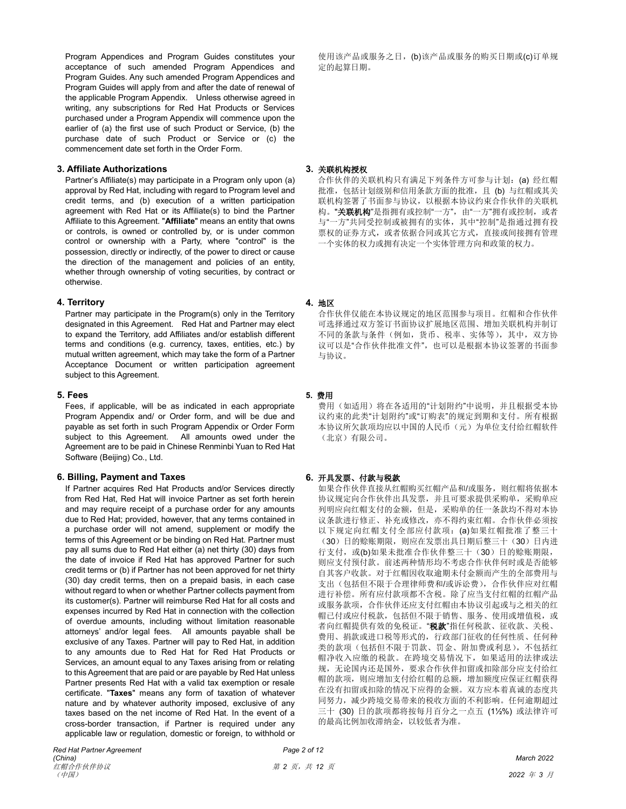Program Appendices and Program Guides constitutes your acceptance of such amended Program Appendices and Program Guides. Any such amended Program Appendices and Program Guides will apply from and after the date of renewal of the applicable Program Appendix. Unless otherwise agreed in writing, any subscriptions for Red Hat Products or Services purchased under a Program Appendix will commence upon the earlier of (a) the first use of such Product or Service, (b) the purchase date of such Product or Service or (c) the commencement date set forth in the Order Form.

### **3. Affiliate Authorizations 3.** 关联机构授权

Partner's Affiliate(s) may participate in a Program only upon (a) approval by Red Hat, including with regard to Program level and credit terms, and (b) execution of a written participation agreement with Red Hat or its Affiliate(s) to bind the Partner Affiliate to this Agreement. "**Affiliate**" means an entity that owns or controls, is owned or controlled by, or is under common control or ownership with a Party, where "control" is the possession, directly or indirectly, of the power to direct or cause the direction of the management and policies of an entity, whether through ownership of voting securities, by contract or otherwise.

# **4. Territory 4.** 地区

Partner may participate in the Program(s) only in the Territory designated in this Agreement. Red Hat and Partner may elect to expand the Territory, add Affiliates and/or establish different terms and conditions (e.g. currency, taxes, entities, etc.) by mutual written agreement, which may take the form of a Partner Acceptance Document or written participation agreement subject to this Agreement.

### **5. Fees 5.** 费用

Fees, if applicable, will be as indicated in each appropriate Program Appendix and/ or Order form, and will be due and payable as set forth in such Program Appendix or Order Form subject to this Agreement. All amounts owed under the Agreement are to be paid in Chinese Renminbi Yuan to Red Hat Software (Beijing) Co., Ltd.

# **6. Billing, Payment and Taxes 6.** 开具发票、付款与税款

If Partner acquires Red Hat Products and/or Services directly from Red Hat, Red Hat will invoice Partner as set forth herein and may require receipt of a purchase order for any amounts due to Red Hat; provided, however, that any terms contained in a purchase order will not amend, supplement or modify the terms of this Agreement or be binding on Red Hat. Partner must pay all sums due to Red Hat either (a) net thirty (30) days from the date of invoice if Red Hat has approved Partner for such credit terms or (b) if Partner has not been approved for net thirty (30) day credit terms, then on a prepaid basis, in each case without regard to when or whether Partner collects payment from its customer(s). Partner will reimburse Red Hat for all costs and expenses incurred by Red Hat in connection with the collection of overdue amounts, including without limitation reasonable attorneys' and/or legal fees. All amounts payable shall be exclusive of any Taxes. Partner will pay to Red Hat, in addition to any amounts due to Red Hat for Red Hat Products or Services, an amount equal to any Taxes arising from or relating to this Agreement that are paid or are payable by Red Hat unless Partner presents Red Hat with a valid tax exemption or resale certificate. "**Taxes**" means any form of taxation of whatever nature and by whatever authority imposed, exclusive of any taxes based on the net income of Red Hat. In the event of a cross-border transaction, if Partner is required under any applicable law or regulation, domestic or foreign, to withhold or

使用该产品或服务之日,(b)该产品或服务的购买日期或(c)订单规 定的起算日期。

合作伙伴的关联机构只有满足下列条件方可参与计划: (a) 经红帽 批准,包括计划级别和信用条款方面的批准,且 (b) 与红帽或其关 联机构签署了书面参与协议,以根据本协议约束合作伙伴的关联机 构。"关联机构"是指拥有或控制"一方",由"一方"拥有或控制, 或者 与"一方"共同受控制或被拥有的实体,其中"控制"是指通过拥有投 票权的证券方式,或者依据合同或其它方式,直接或间接拥有管理 一个实体的权力或拥有决定一个实体管理方向和政策的权力。

合作伙伴仅能在本协议规定的地区范围参与项目。红帽和合作伙伴 可选择通过双方签订书面协议扩展地区范围、增加关联机构并制订 不同的条款与条件(例如,货币、税率、实体等),其中,双方协 议可以是"合作伙伴批准文件",也可以是根据本协议签署的书面参 与协议。

费用(如适用)将在各适用的"计划附约"中说明,并且根据受本协 议约束的此类"计划附约"或"订购表"的规定到期和支付。所有根据 本协议所欠款项均应以中国的人民币(元)为单位支付给红帽软件 (北京)有限公司。

如果合作伙伴直接从红帽购买红帽产品和/或服务,则红帽将依据本 协议规定向合作伙伴出具发票,并且可要求提供采购单,采购单应 列明应向红帽支付的金额,但是,采购单的任一条款均不得对本协 议条款进行修正、补充或修改,亦不得约束红帽。合作伙伴必须按 以下规定向红帽支付全部应付款项:(a)如果红帽批准了整三十 (30)日的赊账期限,则应在发票出具日期后整三十(30)日内进 行支付, 或(b)如果未批准合作伙伴整三十(30)日的赊账期限, 则应支付预付款。前述两种情形均不考虑合作伙伴何时或是否能够 自其客户收款。对于红帽因收取逾期未付金额而产生的全部费用与 支出(包括但不限于合理律师费和/或诉讼费),合作伙伴应对红帽 进行补偿。所有应付款项都不含税。除了应当支付红帽的红帽产品 或服务款项,合作伙伴还应支付红帽由本协议引起或与之相关的红 帽已付或应付税款,包括但不限于销售、服务、使用或增值税,或 者向红帽提供有效的免税证。"税款"指任何税款、征收款、关税、 费用、捐款或进口税等形式的,行政部门征收的任何性质、任何种 类的款项(包括但不限于罚款、罚金、附加费或利息),不包括红 帽净收入应缴的税款。在跨境交易情况下,如果适用的法律或法 规,无论国内还是国外,要求合作伙伴扣留或扣除部分应支付给红 帽的款项,则应增加支付给红帽的总额,增加额度应保证红帽获得 在没有扣留或扣除的情况下应得的金额。双方应本着真诚的态度共 同努力,减少跨境交易带来的税收方面的不利影响。任何逾期超过 三十 (30) 日的款项都将按每月百分之一点五 (1½%) 或法律许可 的最高比例加收滞纳金,以较低者为准。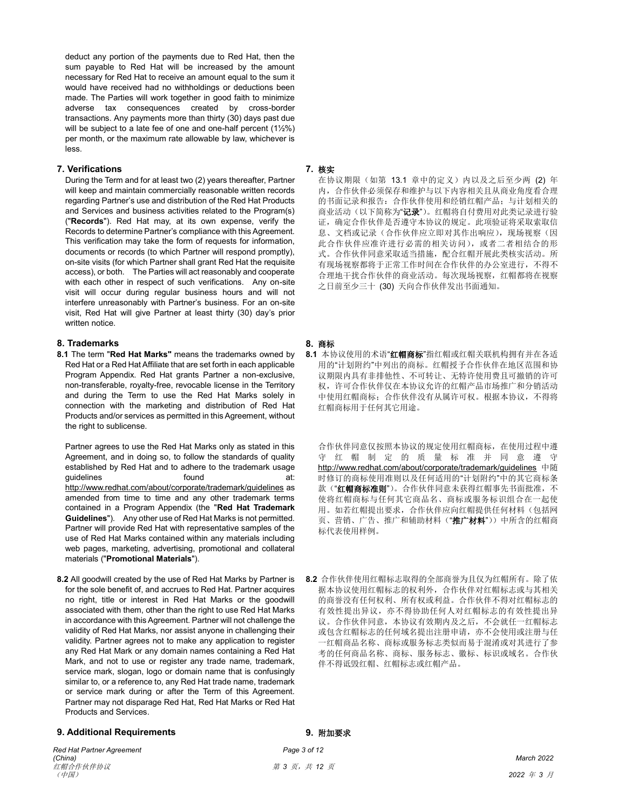deduct any portion of the payments due to Red Hat, then the sum payable to Red Hat will be increased by the amount necessary for Red Hat to receive an amount equal to the sum it would have received had no withholdings or deductions been made. The Parties will work together in good faith to minimize adverse tax consequences created by cross-border transactions. Any payments more than thirty (30) days past due will be subject to a late fee of one and one-half percent (1½%) per month, or the maximum rate allowable by law, whichever is less.

# **7. Verifications 7.** 核实

During the Term and for at least two (2) years thereafter, Partner will keep and maintain commercially reasonable written records regarding Partner's use and distribution of the Red Hat Products and Services and business activities related to the Program(s) ("**Records**"). Red Hat may, at its own expense, verify the Records to determine Partner's compliance with this Agreement. This verification may take the form of requests for information, documents or records (to which Partner will respond promptly), on-site visits (for which Partner shall grant Red Hat the requisite access), or both. The Parties will act reasonably and cooperate with each other in respect of such verifications. Any on-site visit will occur during regular business hours and will not interfere unreasonably with Partner's business. For an on-site visit, Red Hat will give Partner at least thirty (30) day's prior written notice.

### **8. Trademarks 8.** 商标

**8.1** The term "**Red Hat Marks"** means the trademarks owned by Red Hat or a Red Hat Affiliate that are set forth in each applicable Program Appendix. Red Hat grants Partner a non-exclusive, non-transferable, royalty-free, revocable license in the Territory and during the Term to use the Red Hat Marks solely in connection with the marketing and distribution of Red Hat Products and/or services as permitted in this Agreement, without the right to sublicense.

Partner agrees to use the Red Hat Marks only as stated in this Agreement, and in doing so, to follow the standards of quality established by Red Hat and to adhere to the trademark usage guidelines **found at:** <http://www.redhat.com/about/corporate/trademark/guidelines> as amended from time to time and any other trademark terms contained in a Program Appendix (the "**Red Hat Trademark Guidelines**"). Any other use of Red Hat Marks is not permitted. Partner will provide Red Hat with representative samples of the use of Red Hat Marks contained within any materials including web pages, marketing, advertising, promotional and collateral materials ("**Promotional Materials**").

**8.2** All goodwill created by the use of Red Hat Marks by Partner is for the sole benefit of, and accrues to Red Hat. Partner acquires no right, title or interest in Red Hat Marks or the goodwill associated with them, other than the right to use Red Hat Marks in accordance with this Agreement. Partner will not challenge the validity of Red Hat Marks, nor assist anyone in challenging their validity. Partner agrees not to make any application to register any Red Hat Mark or any domain names containing a Red Hat Mark, and not to use or register any trade name, trademark, service mark, slogan, logo or domain name that is confusingly similar to, or a reference to, any Red Hat trade name, trademark or service mark during or after the Term of this Agreement. Partner may not disparage Red Hat, Red Hat Marks or Red Hat Products and Services.

### **9. Additional Requirements 9.** 附加要求

*Red Hat Partner Agreement Page 3 of 12 (China) March 2022* 红帽合作伙伴协议 第 *3* 页,共 *12* 页 (中国) *2022* 年 *3* 月

在协议期限(如第 13.1 章中的定义)内以及之后至少两 (2) 年 内,合作伙伴必须保存和维护与以下内容相关且从商业角度看合理 的书面记录和报告:合作伙伴使用和经销红帽产品;与计划相关的 商业活动(以下简称为"记录")。红帽将自付费用对此类记录进行验 证,确定合作伙伴是否遵守本协议的规定。此项验证将采取索取信 息、文档或记录(合作伙伴应立即对其作出响应),现场视察(因 此合作伙伴应准许进行必需的相关访问),或者二者相结合的形 式。合作伙伴同意采取适当措施,配合红帽开展此类核实活动。所 有现场视察都将于正常工作时间在合作伙伴的办公室进行,不得不 合理地干扰合作伙伴的商业活动。每次现场视察,红帽都将在视察 之日前至少三十 (30) 天向合作伙伴发出书面通知。

**8.1** 本协议使用的术语"红帽商标"指红帽或红帽关联机构拥有并在各适 用的"计划附约"中列出的商标。红帽授予合作伙伴在地区范围和协 议期限内具有非排他性、不可转让、无特许使用费且可撤销的许可 权,许可合作伙伴仅在本协议允许的红帽产品市场推广和分销活动 中使用红帽商标;合作伙伴没有从属许可权。根据本协议,不得将 红帽商标用于任何其它用途。

合作伙伴同意仅按照本协议的规定使用红帽商标,在使用过程中遵 守 红 帽 制 定 的 质 量 标 准 并 同 意 遵 守 <http://www.redhat.com/about/corporate/trademark/guidelines> 中随 时修订的商标使用准则以及任何适用的"计划附约"中的其它商标条 款("红帽商标准则")。合作伙伴同意未获得红帽事先书面批准,不 使将红帽商标与任何其它商品名、商标或服务标识组合在一起使 用。如若红帽提出要求,合作伙伴应向红帽提供任何材料(包括网 页、营销、广告、推广和辅助材料("推广材料"))中所含的红帽商 标代表使用样例。

**8.2** 合作伙伴使用红帽标志取得的全部商誉为且仅为红帽所有。除了依 据本协议使用红帽标志的权利外,合作伙伴对红帽标志或与其相关 的商誉没有任何权利、所有权或利益。合作伙伴不得对红帽标志的 有效性提出异议,亦不得协助任何人对红帽标志的有效性提出异 议。合作伙伴同意,本协议有效期内及之后,不会就任一红帽标志 或包含红帽标志的任何域名提出注册申请,亦不会使用或注册与任 一红帽商品名称、商标或服务标志类似而易于混淆或对其进行了参 考的任何商品名称、商标、服务标志、徽标、标识或域名。合作伙 伴不得诋毁红帽、红帽标志或红帽产品。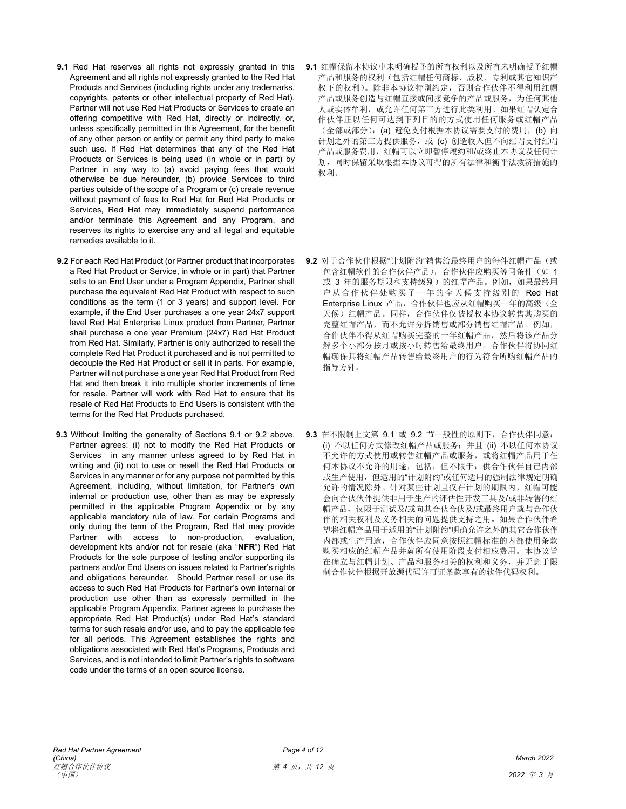- **9.1** Red Hat reserves all rights not expressly granted in this Agreement and all rights not expressly granted to the Red Hat Products and Services (including rights under any trademarks, copyrights, patents or other intellectual property of Red Hat). Partner will not use Red Hat Products or Services to create an offering competitive with Red Hat, directly or indirectly, or, unless specifically permitted in this Agreement, for the benefit of any other person or entity or permit any third party to make such use. If Red Hat determines that any of the Red Hat Products or Services is being used (in whole or in part) by Partner in any way to (a) avoid paying fees that would otherwise be due hereunder, (b) provide Services to third parties outside of the scope of a Program or (c) create revenue without payment of fees to Red Hat for Red Hat Products or Services, Red Hat may immediately suspend performance and/or terminate this Agreement and any Program, and reserves its rights to exercise any and all legal and equitable remedies available to it.
- **9.2** For each Red Hat Product (or Partner product that incorporates a Red Hat Product or Service, in whole or in part) that Partner sells to an End User under a Program Appendix, Partner shall purchase the equivalent Red Hat Product with respect to such conditions as the term (1 or 3 years) and support level. For example, if the End User purchases a one year 24x7 support level Red Hat Enterprise Linux product from Partner, Partner shall purchase a one year Premium (24x7) Red Hat Product from Red Hat. Similarly, Partner is only authorized to resell the complete Red Hat Product it purchased and is not permitted to decouple the Red Hat Product or sell it in parts. For example, Partner will not purchase a one year Red Hat Product from Red Hat and then break it into multiple shorter increments of time for resale. Partner will work with Red Hat to ensure that its resale of Red Hat Products to End Users is consistent with the terms for the Red Hat Products purchased.
- **9.3** Without limiting the generality of Sections 9.1 or 9.2 above, Partner agrees: (i) not to modify the Red Hat Products or Services in any manner unless agreed to by Red Hat in writing and (ii) not to use or resell the Red Hat Products or Services in any manner or for any purpose not permitted by this Agreement, including, without limitation, for Partner's own internal or production use, other than as may be expressly permitted in the applicable Program Appendix or by any applicable mandatory rule of law. For certain Programs and only during the term of the Program, Red Hat may provide Partner with access to non-production, evaluation, development kits and/or not for resale (aka "**NFR**") Red Hat Products for the sole purpose of testing and/or supporting its partners and/or End Users on issues related to Partner's rights and obligations hereunder. Should Partner resell or use its access to such Red Hat Products for Partner's own internal or production use other than as expressly permitted in the applicable Program Appendix, Partner agrees to purchase the appropriate Red Hat Product(s) under Red Hat's standard terms for such resale and/or use, and to pay the applicable fee for all periods. This Agreement establishes the rights and obligations associated with Red Hat's Programs, Products and Services, and is not intended to limit Partner's rights to software code under the terms of an open source license.
- **9.1** 红帽保留本协议中未明确授予的所有权利以及所有未明确授予红帽 产品和服务的权利(包括红帽任何商标、版权、专利或其它知识产 权下的权利)。除非本协议特别约定,否则合作伙伴不得利用红帽 产品或服务创造与红帽直接或间接竞争的产品或服务,为任何其他 人或实体牟利,或允许任何第三方进行此类利用。如果红帽认定合 作伙伴正以任何可达到下列目的的方式使用任何服务或红帽产品 (全部或部分):(a) 避免支付根据本协议需要支付的费用,(b) 向 计划之外的第三方提供服务, 或 (c) 创造收入但不向红帽支付红帽 产品或服务费用,红帽可以立即暂停履约和/或终止本协议及任何计 划,同时保留采取根据本协议可得的所有法律和衡平法救济措施的 权利。
- **9.2** 对于合作伙伴根据"计划附约"销售给最终用户的每件红帽产品(或 包含红帽软件的合作伙伴产品),合作伙伴应购买等同条件(如 1 或 3 年的服务期限和支持级别)的红帽产品。例如,如果最终用 户从合作伙伴处购买了一年的全天候支持级别的 Red Hat Enterprise Linux 产品, 合作伙伴也应从红帽购买一年的高级(全 天候)红帽产品。同样,合作伙伴仅被授权本协议转售其购买的 完整红帽产品,而不允许分拆销售或部分销售红帽产品。例如, 合作伙伴不得从红帽购买完整的一年红帽产品,然后将该产品分 解多个小部分按月或按小时转售给最终用户。合作伙伴将协同红 帽确保其将红帽产品转售给最终用户的行为符合所购红帽产品的 指导方针。
- **9.3** 在不限制上文第 9.1 或 9.2 节一般性的原则下,合作伙伴同意: (i) 不以任何方式修改红帽产品或服务;并且 (ii) 不以任何本协议 不允许的方式使用或转售红帽产品或服务,或将红帽产品用于任 何本协议不允许的用途,包括,但不限于:供合作伙伴自己内部 或生产使用,但适用的"计划附约"或任何适用的强制法律规定明确 允许的情况除外。针对某些计划且仅在计划的期限内,红帽可能 会向合伙伙伴提供非用于生产的评估性开发工具及/或非转售的红 帽产品,仅限于测试及/或向其合伙合伙及/或最终用户就与合作伙 伴的相关权利及义务相关的问题提供支持之用。如果合作伙伴希 望将红帽产品用于适用的"计划附约"明确允许之外的其它合作伙伴 内部或生产用途,合作伙伴应同意按照红帽标准的内部使用条款 购买相应的红帽产品并就所有使用阶段支付相应费用。本协议旨 在确立与红帽计划、产品和服务相关的权利和义务,并无意于限 制合作伙伴根据开放源代码许可证条款享有的软件代码权利。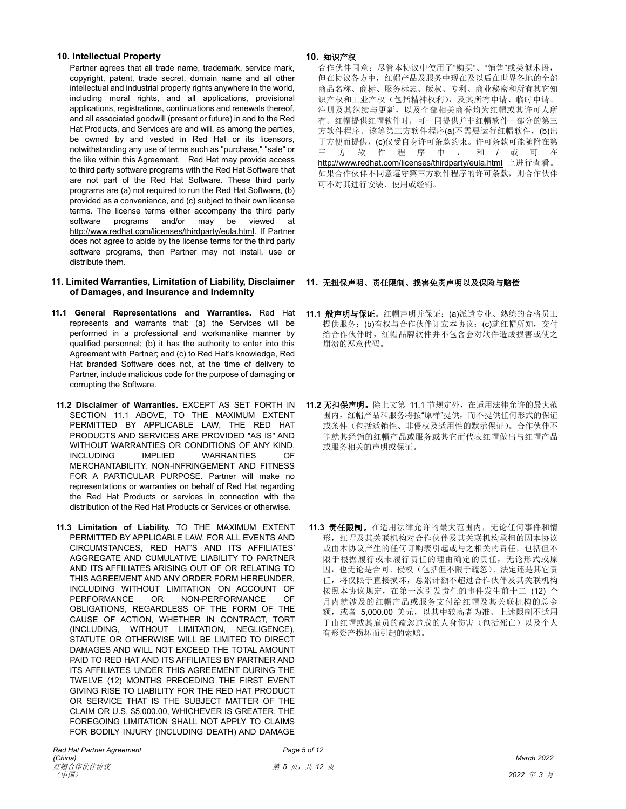# **10. Intellectual Property 10.** 知识产权

Partner agrees that all trade name, trademark, service mark, copyright, patent, trade secret, domain name and all other intellectual and industrial property rights anywhere in the world, including moral rights, and all applications, provisional applications, registrations, continuations and renewals thereof, and all associated goodwill (present or future) in and to the Red Hat Products, and Services are and will, as among the parties, be owned by and vested in Red Hat or its licensors, notwithstanding any use of terms such as "purchase," "sale" or the like within this Agreement. Red Hat may provide access to third party software programs with the Red Hat Software that are not part of the Red Hat Software. These third party programs are (a) not required to run the Red Hat Software, (b) provided as a convenience, and (c) subject to their own license terms. The license terms either accompany the third party software programs and/or may be viewed at [http://www.redhat.com/licenses/thirdparty/eula.html.](http://www.redhat.com/licenses/thirdparty/eula.html) If Partner does not agree to abide by the license terms for the third party software programs, then Partner may not install, use or distribute them.

# **11. Limited Warranties, Limitation of Liability, Disclaimer 11.** 无担保声明、责任限制、损害免责声明以及保险与赔偿 **of Damages, and Insurance and Indemnity**

- **11.1 General Representations and Warranties.** Red Hat represents and warrants that: (a) the Services will be performed in a professional and workmanlike manner by qualified personnel; (b) it has the authority to enter into this Agreement with Partner; and (c) to Red Hat's knowledge, Red Hat branded Software does not, at the time of delivery to Partner, include malicious code for the purpose of damaging or corrupting the Software.
- **11.2 Disclaimer of Warranties.** EXCEPT AS SET FORTH IN SECTION 11.1 ABOVE, TO THE MAXIMUM EXTENT PERMITTED BY APPLICABLE LAW, THE RED HAT PRODUCTS AND SERVICES ARE PROVIDED "AS IS" AND WITHOUT WARRANTIES OR CONDITIONS OF ANY KIND, INCLUDING IMPLIED WARRANTIES OF MERCHANTABILITY, NON-INFRINGEMENT AND FITNESS FOR A PARTICULAR PURPOSE. Partner will make no representations or warranties on behalf of Red Hat regarding the Red Hat Products or services in connection with the distribution of the Red Hat Products or Services or otherwise.
- **11.3 Limitation of Liability.** TO THE MAXIMUM EXTENT PERMITTED BY APPLICABLE LAW, FOR ALL EVENTS AND CIRCUMSTANCES, RED HAT'S AND ITS AFFILIATES' AGGREGATE AND CUMULATIVE LIABILITY TO PARTNER AND ITS AFFILIATES ARISING OUT OF OR RELATING TO THIS AGREEMENT AND ANY ORDER FORM HEREUNDER, INCLUDING WITHOUT LIMITATION ON ACCOUNT OF PERFORMANCE OR NON-PERFORMANCE OF OBLIGATIONS, REGARDLESS OF THE FORM OF THE CAUSE OF ACTION, WHETHER IN CONTRACT, TORT (INCLUDING, WITHOUT LIMITATION, NEGLIGENCE), STATUTE OR OTHERWISE WILL BE LIMITED TO DIRECT DAMAGES AND WILL NOT EXCEED THE TOTAL AMOUNT PAID TO RED HAT AND ITS AFFILIATES BY PARTNER AND ITS AFFILIATES UNDER THIS AGREEMENT DURING THE TWELVE (12) MONTHS PRECEDING THE FIRST EVENT GIVING RISE TO LIABILITY FOR THE RED HAT PRODUCT OR SERVICE THAT IS THE SUBJECT MATTER OF THE CLAIM OR U.S. \$5,000.00, WHICHEVER IS GREATER. THE FOREGOING LIMITATION SHALL NOT APPLY TO CLAIMS FOR BODILY INJURY (INCLUDING DEATH) AND DAMAGE

合作伙伴同意:尽管本协议中使用了"购买"、"销售"或类似术语, 但在协议各方中,红帽产品及服务中现在及以后在世界各地的全部 商品名称、商标、服务标志、版权、专利、商业秘密和所有其它知 识产权和工业产权(包括精神权利),及其所有申请、临时申请、 注册及其继续与更新,以及全部相关商誉均为红帽或其许可人所 有。红帽提供红帽软件时,可一同提供并非红帽软件一部分的第三 方软件程序。该等第三方软件程序(a)不需要运行红帽软件,(b)出 于方便而提供,(c)仅受自身许可条款约束。许可条款可能随附在第 三 方 软 件 程 序 中 , 和 / 或 可 在 <http://www.redhat.com/licenses/thirdparty/eula.html> 上进行查看。 如果合作伙伴不同意遵守第三方软件程序的许可条款,则合作伙伴 可不对其进行安装、使用或经销。

- **11.1** 般声明与保证。红帽声明并保证:(a)派遣专业、熟练的合格员工 提供服务;(b)有权与合作伙伴订立本协议;(c)就红帽所知, 交付 给合作伙伴时,红帽品牌软件并不包含会对软件造成损害或使之 崩溃的恶意代码。
- **11.2** 无担保声明。除上文第 11.1 节规定外,在适用法律允许的最大范 围内,红帽产品和服务将按"原样"提供,而不提供任何形式的保证 或条件(包括适销性、非侵权及适用性的默示保证)。合作伙伴不 能就其经销的红帽产品或服务或其它而代表红帽做出与红帽产品 或服务相关的声明或保证。
- **11.3** 责任限制。在适用法律允许的最大范围内,无论任何事件和情 形,红帽及其关联机构对合作伙伴及其关联机构承担的因本协议 或由本协议产生的任何订购表引起或与之相关的责任,包括但不 限于根据履行或未履行责任的理由确定的责任,无论形式或原 因,也无论是合同、侵权(包括但不限于疏忽)、法定还是其它责 任,将仅限于直接损坏,总累计额不超过合作伙伴及其关联机构 按照本协议规定,在第一次引发责任的事件发生前十二 (12) 个 月内就涉及的红帽产品或服务支付给红帽及其关联机构的总金 额,或者 5,000.00 美元,以其中较高者为准。上述限制不适用 于由红帽或其雇员的疏忽造成的人身伤害(包括死亡)以及个人 有形资产损坏而引起的索赔。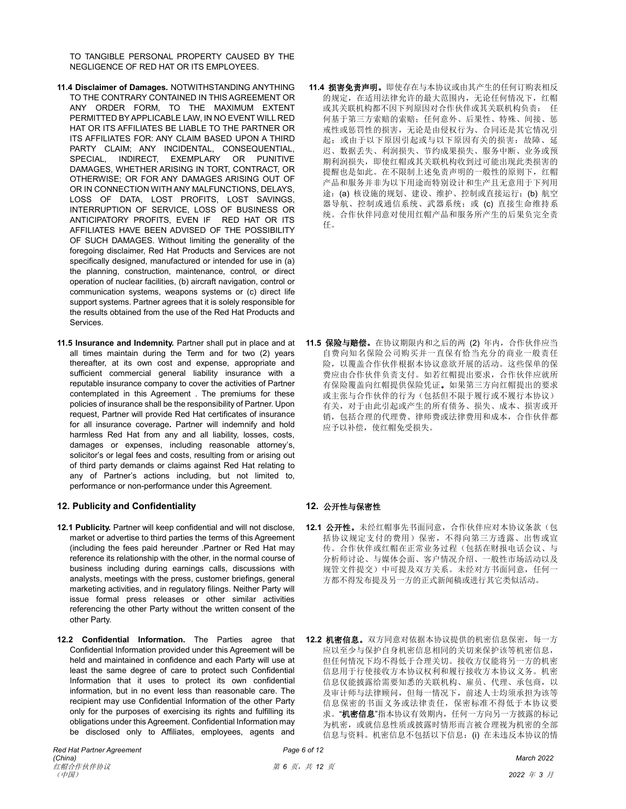TO TANGIBLE PERSONAL PROPERTY CAUSED BY THE NEGLIGENCE OF RED HAT OR ITS EMPLOYEES.

- **11.4 Disclaimer of Damages.** NOTWITHSTANDING ANYTHING TO THE CONTRARY CONTAINED IN THIS AGREEMENT OR ANY ORDER FORM, TO THE MAXIMUM EXTENT PERMITTED BY APPLICABLE LAW, IN NO EVENT WILL RED HAT OR ITS AFFILIATES BE LIABLE TO THE PARTNER OR ITS AFFILIATES FOR: ANY CLAIM BASED UPON A THIRD PARTY CLAIM; ANY INCIDENTAL, CONSEQUENTIAL, SPECIAL, INDIRECT, EXEMPLARY OR PUNITIVE DAMAGES, WHETHER ARISING IN TORT, CONTRACT, OR OTHERWISE; OR FOR ANY DAMAGES ARISING OUT OF OR IN CONNECTION WITH ANY MALFUNCTIONS, DELAYS, LOSS OF DATA, LOST PROFITS, LOST SAVINGS, INTERRUPTION OF SERVICE, LOSS OF BUSINESS OR ANTICIPATORY PROFITS, EVEN IF RED HAT OR ITS AFFILIATES HAVE BEEN ADVISED OF THE POSSIBILITY OF SUCH DAMAGES. Without limiting the generality of the foregoing disclaimer, Red Hat Products and Services are not specifically designed, manufactured or intended for use in (a) the planning, construction, maintenance, control, or direct operation of nuclear facilities, (b) aircraft navigation, control or communication systems, weapons systems or (c) direct life support systems. Partner agrees that it is solely responsible for the results obtained from the use of the Red Hat Products and Services.
- **11.5 Insurance and Indemnity.** Partner shall put in place and at all times maintain during the Term and for two (2) years thereafter, at its own cost and expense, appropriate and sufficient commercial general liability insurance with a reputable insurance company to cover the activities of Partner contemplated in this Agreement . The premiums for these policies of insurance shall be the responsibility of Partner. Upon request, Partner will provide Red Hat certificates of insurance for all insurance coverage**.** Partner will indemnify and hold harmless Red Hat from any and all liability, losses, costs, damages or expenses, including reasonable attorney's, solicitor's or legal fees and costs, resulting from or arising out of third party demands or claims against Red Hat relating to any of Partner's actions including, but not limited to, performance or non-performance under this Agreement.

### **12. Publicity and Confidentiality 12.** 公开性与保密性

- **12.1 Publicity.** Partner will keep confidential and will not disclose, market or advertise to third parties the terms of this Agreement (including the fees paid hereunder .Partner or Red Hat may reference its relationship with the other, in the normal course of business including during earnings calls, discussions with analysts, meetings with the press, customer briefings, general marketing activities, and in regulatory filings. Neither Party will issue formal press releases or other similar activities referencing the other Party without the written consent of the other Party.
- **12.2 Confidential Information.** The Parties agree that Confidential Information provided under this Agreement will be held and maintained in confidence and each Party will use at least the same degree of care to protect such Confidential Information that it uses to protect its own confidential information, but in no event less than reasonable care. The recipient may use Confidential Information of the other Party only for the purposes of exercising its rights and fulfilling its obligations under this Agreement. Confidential Information may be disclosed only to Affiliates, employees, agents and

# 途: (a) 核设施的规划、建设、维护、控制或直接运行; (b) 航空 器导航、控制或通信系统、武器系统;或(c)直接生命维持系 统。合作伙伴同意对使用红帽产品和服务所产生的后果负完全责 任。

**11.4** 损害免责声明。即使存在与本协议或由其产生的任何订购表相反 的规定,在适用法律允许的最大范围内,无论任何情况下,红帽 或其关联机构都不因下列原因对合作伙伴或其关联机构负责: 任 何基于第三方索赔的索赔;任何意外、后果性、特殊、间接、惩 戒性或惩罚性的损害,无论是由侵权行为、合同还是其它情况引 起;或由于以下原因或与以下原因有关的损害:故障、延 迟、数据丢失、利润损失、节约成果损失、服务中断、业务或预 期利润损失,即使红帽或其关联机构收到过可能出现此类损害的 提醒也是如此。在不限制上述免责声明的一般性的原则下,红帽 产品和服务并非为以下用途而特别设计和生产且无意用于下列用

**11.5** 保险与赔偿。在协议期限内和之后的两 (2) 年内,合作伙伴应当 自费向知名保险公司购买并一直保有恰当充分的商业一般责任 险,以覆盖合作伙伴根据本协议意欲开展的活动。这些保单的保 费应由合作伙伴负责支付。如若红帽提出要求,合作伙伴应就所 有保险覆盖向红帽提供保险凭证。如果第三方向红帽提出的要求 或主张与合作伙伴的行为(包括但不限于履行或不履行本协议) 有关,对于由此引起或产生的所有债务、损失、成本、损害或开 销,包括合理的代理费、律师费或法律费用和成本,合作伙伴都 应予以补偿,使红帽免受损失。

- **12.1** 公开性。未经红帽事先书面同意,合作伙伴应对本协议条款(包 括协议规定支付的费用)保密,不得向第三方透露、出售或宣 传。合作伙伴或红帽在正常业务过程(包括在财报电话会议、与 分析师讨论、与媒体会面、客户情况介绍、一般性市场活动以及 规管文件提交)中可提及双方关系。未经对方书面同意,任何一 方都不得发布提及另一方的正式新闻稿或进行其它类似活动。
- **12.2** 机密信息。双方同意对依据本协议提供的机密信息保密,每一方 应以至少与保护自身机密信息相同的关切来保护该等机密信息, 但任何情况下均不得低于合理关切。接收方仅能将另一方的机密 信息用于行使接收方本协议权利和履行接收方本协议义务。机密 信息仅能披露给需要知悉的关联机构、雇员、代理、承包商,以 及审计师与法律顾问,但每一情况下,前述人士均须承担为该等 信息保密的书面义务或法律责任,保密标准不得低于本协议要 求。"机密信息"指本协议有效期内,任何一方向另一方披露的标记 为机密, 或就信息性质或披露时情形而言被合理视为机密的全部 信息与资料。机密信息不包括以下信息:(i) 在未违反本协议的情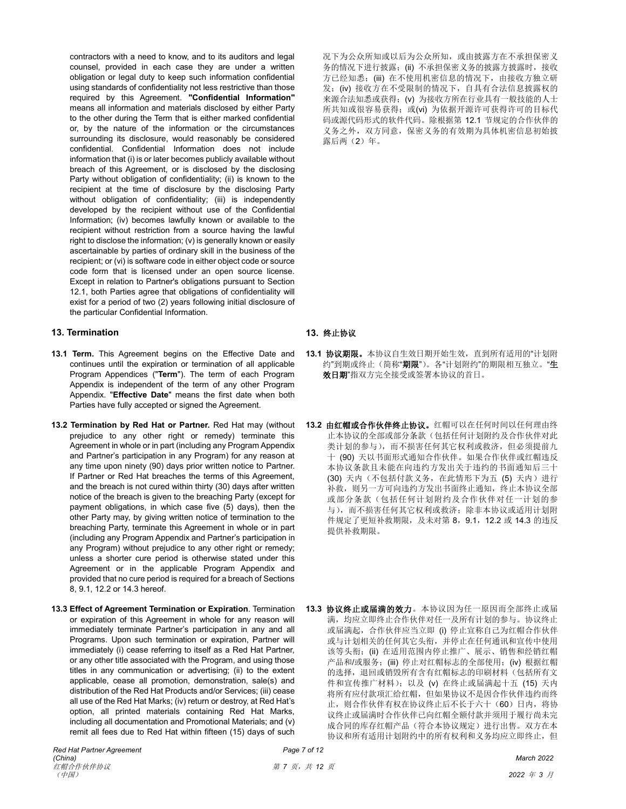contractors with a need to know, and to its auditors and legal counsel, provided in each case they are under a written obligation or legal duty to keep such information confidential using standards of confidentiality not less restrictive than those required by this Agreement. **"Confidential Information"** means all information and materials disclosed by either Party to the other during the Term that is either marked confidential or, by the nature of the information or the circumstances surrounding its disclosure, would reasonably be considered confidential. Confidential Information does not include information that (i) is or later becomes publicly available without breach of this Agreement, or is disclosed by the disclosing Party without obligation of confidentiality; (ii) is known to the recipient at the time of disclosure by the disclosing Party without obligation of confidentiality; (iii) is independently developed by the recipient without use of the Confidential Information; (iv) becomes lawfully known or available to the recipient without restriction from a source having the lawful right to disclose the information; (v) is generally known or easily ascertainable by parties of ordinary skill in the business of the recipient; or (vi) is software code in either object code or source code form that is licensed under an open source license. Except in relation to Partner's obligations pursuant to Section 12.1, both Parties agree that obligations of confidentiality will exist for a period of two (2) years following initial disclosure of the particular Confidential Information.

# **13. Termination 13.** 终止协议

- **13.1 Term.** This Agreement begins on the Effective Date and continues until the expiration or termination of all applicable Program Appendices ("**Term**"). The term of each Program Appendix is independent of the term of any other Program Appendix. "**Effective Date**" means the first date when both Parties have fully accepted or signed the Agreement.
- **13.2 Termination by Red Hat or Partner.** Red Hat may (without prejudice to any other right or remedy) terminate this Agreement in whole or in part (including any Program Appendix and Partner's participation in any Program) for any reason at any time upon ninety (90) days prior written notice to Partner. If Partner or Red Hat breaches the terms of this Agreement, and the breach is not cured within thirty (30) days after written notice of the breach is given to the breaching Party (except for payment obligations, in which case five (5) days), then the other Party may, by giving written notice of termination to the breaching Party, terminate this Agreement in whole or in part (including any Program Appendix and Partner's participation in any Program) without prejudice to any other right or remedy: unless a shorter cure period is otherwise stated under this Agreement or in the applicable Program Appendix and provided that no cure period is required for a breach of Sections 8, 9.1, 12.2 or 14.3 hereof.
- **13.3 Effect of Agreement Termination or Expiration**. Termination or expiration of this Agreement in whole for any reason will immediately terminate Partner's participation in any and all Programs. Upon such termination or expiration, Partner will immediately (i) cease referring to itself as a Red Hat Partner, or any other title associated with the Program, and using those titles in any communication or advertising; (ii) to the extent applicable, cease all promotion, demonstration, sale(s) and distribution of the Red Hat Products and/or Services; (iii) cease all use of the Red Hat Marks; (iv) return or destroy, at Red Hat's option, all printed materials containing Red Hat Marks, including all documentation and Promotional Materials; and (v) remit all fees due to Red Hat within fifteen (15) days of such

况下为公众所知或以后为公众所知,或由披露方在不承担保密义 务的情况下进行披露;(ii) 不承担保密义务的披露方披露时, 接收 方已经知悉;(iii) 在不使用机密信息的情况下,由接收方独立研 发;(iv) 接收方在不受限制的情况下, 自具有合法信息披露权的 来源合法知悉或获得;(v) 为接收方所在行业具有一般技能的人士 所共知或很容易获得; 或(vi) 为依据开源许可获得许可的目标代 码或源代码形式的软件代码。除根据第 12.1 节规定的合作伙伴的 义务之外,双方同意,保密义务的有效期为具体机密信息初始披 露后两(2)年。

- **13.1** 协议期限。本协议自生效日期开始生效,直到所有适用的"计划附 约"到期或终止(简称"期限")。各"计划附约"的期限相互独立。"生 效日期"指双方完全接受或签署本协议的首日。
- **13.2** 由红帽或合作伙伴终止协议。红帽可以在任何时间以任何理由终 止本协议的全部或部分条款(包括任何计划附约及合作伙伴对此 类计划的参与),而不损害任何其它权利或救济,但必须提前九 十 (90) 天以书面形式通知合作伙伴。如果合作伙伴或红帽违反 本协议条款且未能在向违约方发出关于违约的书面通知后三十 (30) 天内(不包括付款义务,在此情形下为五(5) 天内)进行 补救,则另一方可向违约方发出书面终止通知,终止本协议全部 或部分条款(包括任何计划附约及合作伙伴对任一计划的参 与),而不损害任何其它权利或救济;除非本协议或适用计划附 件规定了更短补救期限,及未对第 8,9.1,12.2 或 14.3 的违反 提供补救期限。
- **13.3** 协议终止或届满的效力。本协议因为任一原因而全部终止或届 满,均应立即终止合作伙伴对任一及所有计划的参与。协议终止 或届满起,合作伙伴应当立即 (i) 停止宣称自己为红帽合作伙伴 或与计划相关的任何其它头衔,并停止在任何通讯和宣传中使用 该等头衔;(ii) 在适用范围内停止推广、展示、销售和经销红帽 产品和/或服务;(iii) 停止对红帽标志的全部使用;(iv) 根据红帽 的选择,退回或销毁所有含有红帽标志的印刷材料(包括所有文 件和宣传推广材料);以及 (v) 在终止或届满起十五 (15) 天内 将所有应付款项汇给红帽,但如果协议不是因合作伙伴违约而终 止,则合作伙伴有权在协议终止后不长于六十(60)日内,将协 议终止或届满时合作伙伴已向红帽全额付款并须用于履行尚未完 成合同的库存红帽产品(符合本协议规定)进行出售。双方在本 协议和所有适用计划附约中的所有权利和义务均应立即终止,但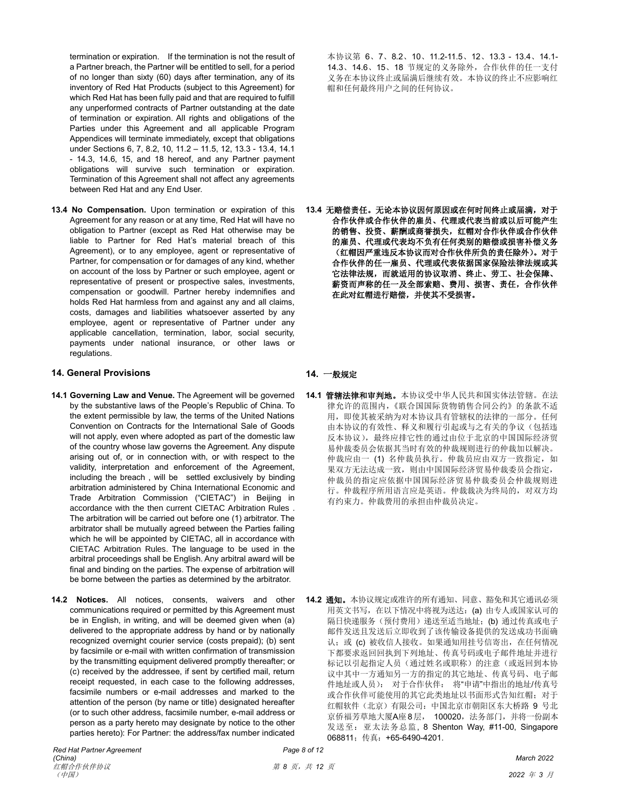termination or expiration. If the termination is not the result of a Partner breach, the Partner will be entitled to sell, for a period of no longer than sixty (60) days after termination, any of its inventory of Red Hat Products (subject to this Agreement) for which Red Hat has been fully paid and that are required to fulfill any unperformed contracts of Partner outstanding at the date of termination or expiration. All rights and obligations of the Parties under this Agreement and all applicable Program Appendices will terminate immediately, except that obligations under Sections 6, 7, 8.2, 10, 11.2 – 11.5, 12, 13.3 - 13.4, 14.1 - 14.3, 14.6, 15, and 18 hereof, and any Partner payment obligations will survive such termination or expiration. Termination of this Agreement shall not affect any agreements between Red Hat and any End User.

**13.4 No Compensation.** Upon termination or expiration of this Agreement for any reason or at any time, Red Hat will have no obligation to Partner (except as Red Hat otherwise may be liable to Partner for Red Hat's material breach of this Agreement), or to any employee, agent or representative of Partner, for compensation or for damages of any kind, whether on account of the loss by Partner or such employee, agent or representative of present or prospective sales, investments, compensation or goodwill. Partner hereby indemnifies and holds Red Hat harmless from and against any and all claims, costs, damages and liabilities whatsoever asserted by any employee, agent or representative of Partner under any applicable cancellation, termination, labor, social security, payments under national insurance, or other laws or regulations.

# **14. General Provisions 14.** 一般规定

- **14.1 Governing Law and Venue.** The Agreement will be governed by the substantive laws of the People's Republic of China. To the extent permissible by law, the terms of the United Nations Convention on Contracts for the International Sale of Goods will not apply, even where adopted as part of the domestic law of the country whose law governs the Agreement. Any dispute arising out of, or in connection with, or with respect to the validity, interpretation and enforcement of the Agreement, including the breach , will be settled exclusively by binding arbitration administered by China International Economic and Trade Arbitration Commission ("CIETAC") in Beijing in accordance with the then current CIETAC Arbitration Rules . The arbitration will be carried out before one (1) arbitrator. The arbitrator shall be mutually agreed between the Parties failing which he will be appointed by CIETAC, all in accordance with CIETAC Arbitration Rules. The language to be used in the arbitral proceedings shall be English. Any arbitral award will be final and binding on the parties. The expense of arbitration will be borne between the parties as determined by the arbitrator.
- **14.2 Notices.** All notices, consents, waivers and other communications required or permitted by this Agreement must be in English, in writing, and will be deemed given when (a) delivered to the appropriate address by hand or by nationally recognized overnight courier service (costs prepaid); (b) sent by facsimile or e-mail with written confirmation of transmission by the transmitting equipment delivered promptly thereafter; or (c) received by the addressee, if sent by certified mail, return receipt requested, in each case to the following addresses, facsimile numbers or e-mail addresses and marked to the attention of the person (by name or title) designated hereafter (or to such other address, facsimile number, e-mail address or person as a party hereto may designate by notice to the other parties hereto): For Partner: the address/fax number indicated

本协议第 6、7、8.2、10、11.2-11.5、12、13.3 - 13.4、14.1- 14.3、14.6、15、18 节规定的义务除外,合作伙伴的任一支付 义务在本协议终止或届满后继续有效。本协议的终止不应影响红 帽和任何最终用户之间的任何协议。

**13.4** 无赔偿责任。无论本协议因何原因或在何时间终止或届满,对于 合作伙伴或合作伙伴的雇员、代理或代表当前或以后可能产生 的销售、投资、薪酬或商誉损失,红帽对合作伙伴或合作伙伴 的雇员、代理或代表均不负有任何类别的赔偿或损害补偿义务 (红帽因严重违反本协议而对合作伙伴所负的责任除外)。对于 合作伙伴的任一雇员、代理或代表依据国家保险法律法规或其 它法律法规,而就适用的协议取消、终止、劳工、社会保障、 薪资而声称的任一及全部索赔、费用、损害、责任,合作伙伴 在此对红帽进行赔偿,并使其不受损害。

**14.1** 管辖法律和审判地。本协议受中华人民共和国实体法管辖。在法 律允许的范围内,《联合国国际货物销售合同公约》的条款不适 用,即使其被采纳为对本协议具有管辖权的法律的一部分。任何 由本协议的有效性、释义和履行引起或与之有关的争议(包括违 反本协议),最终应排它性的通过由位于北京的中国国际经济贸 易仲裁委员会依据其当时有效的仲裁规则进行的仲裁加以解决。 仲裁应由一(1) 名仲裁员执行。仲裁员应由双方一致指定, 如 果双方无法达成一致,则由中国国际经济贸易仲裁委员会指定, 仲裁员的指定应依据中国国际经济贸易仲裁委员会仲裁规则进 行。仲裁程序所用语言应是英语。仲裁裁决为终局的,对双方均 有约束力。仲裁费用的承担由仲裁员决定。

**14.2** 通知。本协议规定或准许的所有通知、同意、豁免和其它通讯必须 用英文书写, 在以下情况中将视为送达: (a) 由专人或国家认可的 隔日快递服务(预付费用)递送至适当地址;(b)通过传真或电子 邮件发送且发送后立即收到了该传输设备提供的发送成功书面确 认; 或 (c) 被收信人接收。如果通知用挂号信寄出, 在任何情况 下都要求返回回执到下列地址、传真号码或电子邮件地址并进行 标记以引起指定人员(通过姓名或职称)的注意(或返回到本协 议中其中一方通知另一方的指定的其它地址、传真号码、电子邮 件地址或人员): 对于合作伙伴: 将"申请"中指出的地址/传真号 或合作伙伴可能使用的其它此类地址以书面形式告知红帽;对于 红帽软件(北京)有限公司: 中国北京市朝阳区东大桥路 9 号北 京侨福芳草地大厦A座8层, 100020, 法务部门, 并将一份副本 发送至:亚太法务总监, 8 Shenton Way, #11-00, Singapore 068811;传真:+65-6490-4201.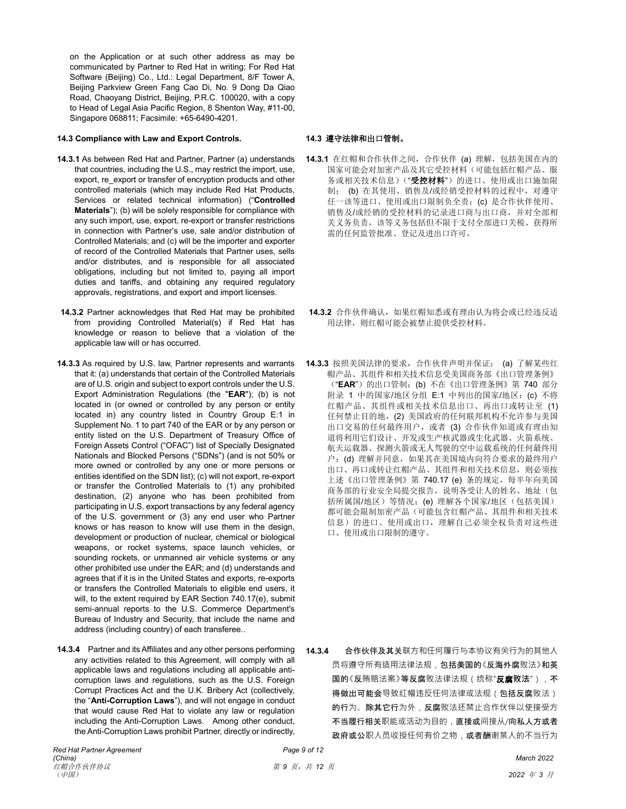on the Application or at such other address as may be communicated by Partner to Red Hat in writing; For Red Hat Software (Beijing) Co., Ltd.: Legal Department, 8/F Tower A, Beijing Parkview Green Fang Cao Di, No. 9 Dong Da Qiao Road, Chaoyang District, Beijing, P.R.C. 100020, with a copy to Head of Legal Asia Pacific Region, 8 Shenton Way, #11-00, Singapore 068811; Facsimile: +65-6490-4201.

## **14.3 Compliance with Law and Export Controls. 14.3** 遵守法律和出口管制。

- **14.3.1** As between Red Hat and Partner, Partner (a) understands that countries, including the U.S., may restrict the import, use, export, re\_export or transfer of encryption products and other controlled materials (which may include Red Hat Products, Services or related technical information) ("**Controlled Materials**"); (b) will be solely responsible for compliance with any such import, use, export, re-export or transfer restrictions in connection with Partner's use, sale and/or distribution of Controlled Materials; and (c) will be the importer and exporter of record of the Controlled Materials that Partner uses, sells and/or distributes, and is responsible for all associated obligations, including but not limited to, paying all import duties and tariffs, and obtaining any required regulatory approvals, registrations, and export and import licenses.
- **14.3.2** Partner acknowledges that Red Hat may be prohibited from providing Controlled Material(s) if Red Hat has knowledge or reason to believe that a violation of the applicable law will or has occurred.
- **14.3.3** As required by U.S. law, Partner represents and warrants that it: (a) understands that certain of the Controlled Materials are of U.S. origin and subject to export controls under the U.S. Export Administration Regulations (the "**EAR**"); (b) is not located in (or owned or controlled by any person or entity located in) any country listed in Country Group E:1 in Supplement No. 1 to part 740 of the EAR or by any person or entity listed on the U.S. Department of Treasury Office of Foreign Assets Control ("OFAC") list of Specially Designated Nationals and Blocked Persons ("SDNs") (and is not 50% or more owned or controlled by any one or more persons or entities identified on the SDN list); (c) will not export, re-export or transfer the Controlled Materials to (1) any prohibited destination, (2) anyone who has been prohibited from participating in U.S. export transactions by any federal agency of the U.S. government or (3) any end user who Partner knows or has reason to know will use them in the design, development or production of nuclear, chemical or biological weapons, or rocket systems, space launch vehicles, or sounding rockets, or unmanned air vehicle systems or any other prohibited use under the EAR; and (d) understands and agrees that if it is in the United States and exports, re-exports or transfers the Controlled Materials to eligible end users, it will, to the extent required by EAR Section 740.17(e), submit semi-annual reports to the U.S. Commerce Department's Bureau of Industry and Security, that include the name and address (including country) of each transferee..
- **14.3.4** Partner and its Affiliates and any other persons performing any activities related to this Agreement, will comply with all applicable laws and regulations including all applicable anticorruption laws and regulations, such as the U.S. Foreign Corrupt Practices Act and the U.K. Bribery Act (collectively, the "**Anti-Corruption Laws**"), and will not engage in conduct that would cause Red Hat to violate any law or regulation including the Anti-Corruption Laws. Among other conduct, the Anti-Corruption Laws prohibit Partner, directly or indirectly,

- **14.3.1** 在红帽和合作伙伴之间,合作伙伴 (a) 理解,包括美国在内的 国家可能会对加密产品及其它受控材料(可能包括红帽产品、服 务或相关技术信息)("受控材料")的进口、使用或出口施加限 制; (b) 在其使用、销售及/或经销受控材料的过程中,对遵守 任一该等进口、使用或出口限制负全责;(c) 是合作伙伴使用、 销售及/或经销的受控材料的记录进口商与出口商,并对全部相 关义务负责,该等义务包括但不限于支付全部进口关税、获得所 需的任何监管批准、登记及进出口许可。
- 14.3.2 合作伙伴确认, 如果红帽知悉或有理由认为将会或已经违反适 用法律,则红帽可能会被禁止提供受控材料。
- **14.3.3** 按照美国法律的要求,合作伙伴声明并保证: (a) 了解某些红 帽产品、其组件和相关技术信息受美国商务部《出口管理条例》 ("EAR")的出口管制;(b) 不在《出口管理条例》第 740 部分 附录 1 中的国家/地区分组 E:1 中列出的国家/地区:(c) 不将 红帽产品、其组件或相关技术信息出口、再出口或转让至 (1) 任何禁止目的地,(2) 美国政府的任何联邦机构不允许参与美国 出口交易的任何最终用户,或者 (3) 合作伙伴知道或有理由知 道将利用它们设计、开发或生产核武器或生化武器、火箭系统、 航天运载器、探测火箭或无人驾驶的空中运载系统的任何最终用 户;(d) 理解并同意,如果其在美国境内向符合要求的最终用户 出口、再口或转让红帽产品、其组件和相关技术信息,则必须按 上述《出口管理条例》第 740.17 (e) 条的规定, 每半年向美国 商务部的行业安全局提交报告,说明各受让人的姓名、地址(包 括所属国/地区)等情况;(e) 理解各个国家/地区(包括美国) 都可能会限制加密产品(可能包含红帽产品、其组件和相关技术 信息)的进口、使用或出口,理解自己必须全权负责对这些进 口、使用或出口限制的遵守。

**14.3.4** 合作伙伴及其关联方和任何履行与本协议有关行为的其他人 员将遵守所有适用法律法规,包括美国的《反海外腐败法》和英 国的《反贿赂法案》等反腐败法律法规(统称"反腐败法"), 不 得做出可能会导致红帽违反任何法律或法规(包括反腐败法) 的行为。除其它行为外,反腐败法还禁止合作伙伴以使接受方 不当履行相关职能或活动为目的,直接或间接从/向私人方或者 政府或公职人员收授任何有价之物, 或者酬谢某人的不当行为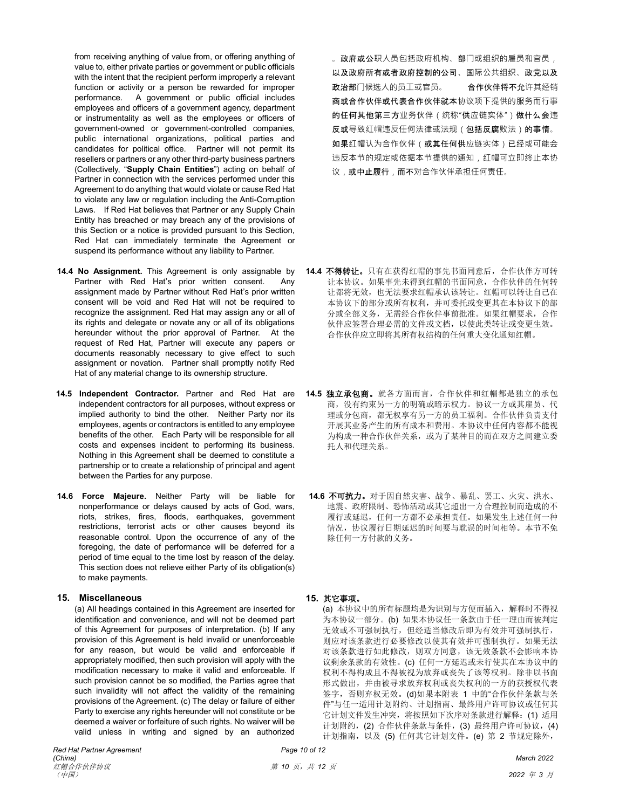from receiving anything of value from, or offering anything of value to, either private parties or government or public officials with the intent that the recipient perform improperly a relevant function or activity or a person be rewarded for improper performance. A government or public official includes employees and officers of a government agency, department or instrumentality as well as the employees or officers of government-owned or government-controlled companies, public international organizations, political parties and candidates for political office. Partner will not permit its resellers or partners or any other third-party business partners (Collectively, "**Supply Chain Entities**") acting on behalf of Partner in connection with the services performed under this Agreement to do anything that would violate or cause Red Hat to violate any law or regulation including the Anti-Corruption Laws. If Red Hat believes that Partner or any Supply Chain Entity has breached or may breach any of the provisions of this Section or a notice is provided pursuant to this Section, Red Hat can immediately terminate the Agreement or suspend its performance without any liability to Partner.

- **14.4 No Assignment.** This Agreement is only assignable by Partner with Red Hat's prior written consent. Any assignment made by Partner without Red Hat's prior written consent will be void and Red Hat will not be required to recognize the assignment. Red Hat may assign any or all of its rights and delegate or novate any or all of its obligations hereunder without the prior approval of Partner. At the request of Red Hat, Partner will execute any papers or documents reasonably necessary to give effect to such assignment or novation. Partner shall promptly notify Red Hat of any material change to its ownership structure.
- **14.5 Independent Contractor.** Partner and Red Hat are independent contractors for all purposes, without express or implied authority to bind the other. Neither Party nor its employees, agents or contractors is entitled to any employee benefits of the other. Each Party will be responsible for all costs and expenses incident to performing its business. Nothing in this Agreement shall be deemed to constitute a partnership or to create a relationship of principal and agent between the Parties for any purpose.
- **14.6 Force Majeure.** Neither Party will be liable for nonperformance or delays caused by acts of God, wars, riots, strikes, fires, floods, earthquakes, government restrictions, terrorist acts or other causes beyond its reasonable control. Upon the occurrence of any of the foregoing, the date of performance will be deferred for a period of time equal to the time lost by reason of the delay. This section does not relieve either Party of its obligation(s) to make payments.

### **15. Miscellaneous 15.** 其它事项。

(a) All headings contained in this Agreement are inserted for identification and convenience, and will not be deemed part of this Agreement for purposes of interpretation. (b) If any provision of this Agreement is held invalid or unenforceable for any reason, but would be valid and enforceable if appropriately modified, then such provision will apply with the modification necessary to make it valid and enforceable. If such provision cannot be so modified, the Parties agree that such invalidity will not affect the validity of the remaining provisions of the Agreement. (c) The delay or failure of either Party to exercise any rights hereunder will not constitute or be deemed a waiver or forfeiture of such rights. No waiver will be valid unless in writing and signed by an authorized

。**政府或公**职人员包括政府机构、部门或组织的雇员和官员, 以及政府所有或者政府控制的公司、国际公共组织、政党以及 政治部门候选人的员工或官员。 合作伙伴将不允许其经销 商或合作伙伴或代表合作伙伴就本协议项下提供的服务而行事 的任何其他第三方业务伙伴(统称"供应链实体")做什么会违 反或导致红帽违反任何法律或法规(包括反腐败法)的事情。 如果红帽认为合作伙伴(或其任何供应链实体)已经或可能会 违反本节的规定或依据本节提供的通知,红帽可立即终止本协 议,或中止履行,而不对合作伙伴承担任何责任。

- **14.4** 不得转让。只有在获得红帽的事先书面同意后,合作伙伴方可转 让本协议。如果事先未得到红帽的书面同意,合作伙伴的任何转 让都将无效,也无法要求红帽承认该转让。红帽可以转让自己在 本协议下的部分或所有权利,并可委托或变更其在本协议下的部 分或全部义务,无需经合作伙伴事前批准。如果红帽要求,合作 伙伴应签署合理必需的文件或文档,以使此类转让或变更生效。 合作伙伴应立即将其所有权结构的任何重大变化通知红帽。
- **14.5** 独立承包商。就各方面而言,合作伙伴和红帽都是独立的承包 商,没有约束另一方的明确或暗示权力。协议一方或其雇员、代 理或分包商,都无权享有另一方的员工福利。合作伙伴负责支付 开展其业务产生的所有成本和费用。本协议中任何内容都不能视 为构成一种合作伙伴关系,或为了某种目的而在双方之间建立委 托人和代理关系。
- **14.6** 不可抗力。对于因自然灾害、战争、暴乱、罢工、火灾、洪水、 地震、政府限制、恐怖活动或其它超出一方合理控制而造成的不 履行或延迟,任何一方都不必承担责任。如果发生上述任何一种 情况,协议履行日期延迟的时间要与耽误的时间相等。本节不免 除任何一方付款的义务。

(a) 本协议中的所有标题均是为识别与方便而插入,解释时不得视 为本协议一部分。(b) 如果本协议任一条款由于任一理由而被判定 无效或不可强制执行,但经适当修改后即为有效并可强制执行, 则应对该条款进行必要修改以使其有效并可强制执行。如果无法 对该条款进行如此修改,则双方同意,该无效条款不会影响本协 议剩余条款的有效性。(c) 任何一方延迟或未行使其在本协议中的 权利不得构成且不得被视为放弃或丧失了该等权利。除非以书面 形式做出,并由被寻求放弃权利或丧失权利的一方的获授权代表 签字,否则弃权无效。(d)如果本附表 1 中的"合作伙伴条款与条 件"与任一适用计划附约、计划指南、最终用户许可协议或任何其 它计划文件发生冲突,将按照如下次序对条款进行解释:(1) 适用 计划附约,(2) 合作伙伴条款与条件,(3) 最终用户许可协议,(4) 计划指南,以及 (5) 任何其它计划文件。(e) 第 2 节规定除外,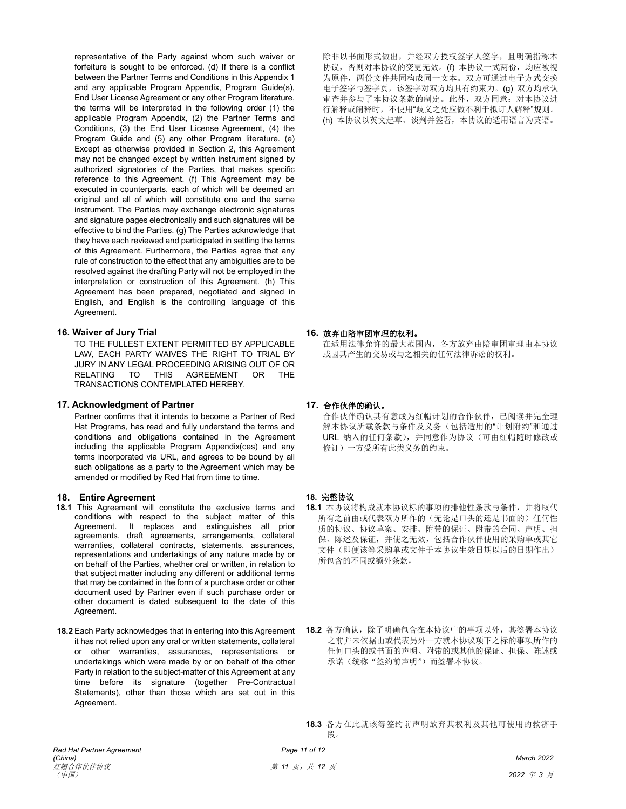representative of the Party against whom such waiver or forfeiture is sought to be enforced. (d) If there is a conflict between the Partner Terms and Conditions in this Appendix 1 and any applicable Program Appendix, Program Guide(s), End User License Agreement or any other Program literature, the terms will be interpreted in the following order (1) the applicable Program Appendix, (2) the Partner Terms and Conditions, (3) the End User License Agreement, (4) the Program Guide and (5) any other Program literature. (e) Except as otherwise provided in Section 2, this Agreement may not be changed except by written instrument signed by authorized signatories of the Parties, that makes specific reference to this Agreement. (f) This Agreement may be executed in counterparts, each of which will be deemed an original and all of which will constitute one and the same instrument. The Parties may exchange electronic signatures and signature pages electronically and such signatures will be effective to bind the Parties. (g) The Parties acknowledge that they have each reviewed and participated in settling the terms of this Agreement. Furthermore, the Parties agree that any rule of construction to the effect that any ambiguities are to be resolved against the drafting Party will not be employed in the interpretation or construction of this Agreement. (h) This Agreement has been prepared, negotiated and signed in English, and English is the controlling language of this Agreement.

# **16. Waiver of Jury Trial 16.** 放弃由陪审团审理的权利。

TO THE FULLEST EXTENT PERMITTED BY APPLICABLE LAW, EACH PARTY WAIVES THE RIGHT TO TRIAL BY JURY IN ANY LEGAL PROCEEDING ARISING OUT OF OR RELATING TO THIS AGREEMENT OR THE TRANSACTIONS CONTEMPLATED HEREBY.

### **17. Acknowledgment of Partner 17.** 合作伙伴的确认。

Partner confirms that it intends to become a Partner of Red Hat Programs, has read and fully understand the terms and conditions and obligations contained in the Agreement including the applicable Program Appendix(ces) and any terms incorporated via URL, and agrees to be bound by all such obligations as a party to the Agreement which may be amended or modified by Red Hat from time to time.

### **18. Entire Agreement**

- **18.1** This Agreement will constitute the exclusive terms and conditions with respect to the subject matter of this Agreement. It replaces and extinguishes all prior agreements, draft agreements, arrangements, collateral warranties, collateral contracts, statements, assurances, representations and undertakings of any nature made by or on behalf of the Parties, whether oral or written, in relation to that subject matter including any different or additional terms that may be contained in the form of a purchase order or other document used by Partner even if such purchase order or other document is dated subsequent to the date of this Agreement.
- **18.2** Each Party acknowledges that in entering into this Agreement it has not relied upon any oral or written statements, collateral or other warranties, assurances, representations or undertakings which were made by or on behalf of the other Party in relation to the subject-matter of this Agreement at any time before its signature (together Pre-Contractual Statements), other than those which are set out in this Agreement.

除非以书面形式做出,并经双方授权签字人签字,且明确指称本 协议,否则对本协议的变更无效。(f) 本协议一式两份,均应被视 为原件,两份文件共同构成同一文本。双方可通过电子方式交换 电子签字与签字页,该签字对双方均具有约束力。(g) 双方均承认 审查并参与了本协议条款的制定。此外,双方同意:对本协议进 行解释或阐释时,不使用"歧义之处应做不利于拟订人解释"规则。 (h) 本协议以英文起草、谈判并签署,本协议的适用语言为英语。

在适用法律允许的最大范围内,各方放弃由陪审团审理由本协议 或因其产生的交易或与之相关的任何法律诉讼的权利。

合作伙伴确认其有意成为红帽计划的合作伙伴,已阅读并完全理 解本协议所载条款与条件及义务(包括适用的"计划附约"和通过 URL 纳入的任何条款),并同意作为协议(可由红帽随时修改或 修订)一方受所有此类义务的约束。

## **18.** 完整协议

- **18.1** 本协议将构成就本协议标的事项的排他性条款与条件,并将取代 所有之前由或代表双方所作的(无论是口头的还是书面的)任何性 质的协议、协议草案、安排、附带的保证、附带的合同、声明、担 保、陈述及保证,并使之无效,包括合作伙伴使用的采购单或其它 文件(即便该等采购单或文件于本协议生效日期以后的日期作出) 所包含的不同或额外条款,
- **18.2** 各方确认,除了明确包含在本协议中的事项以外,其签署本协议 之前并未依据由或代表另外一方就本协议项下之标的事项所作的 任何口头的或书面的声明、附带的或其他的保证、担保、陈述或 承诺(统称"签约前声明")而签署本协议。

**18.3** 各方在此就该等签约前声明放弃其权利及其他可使用的救济手 段。